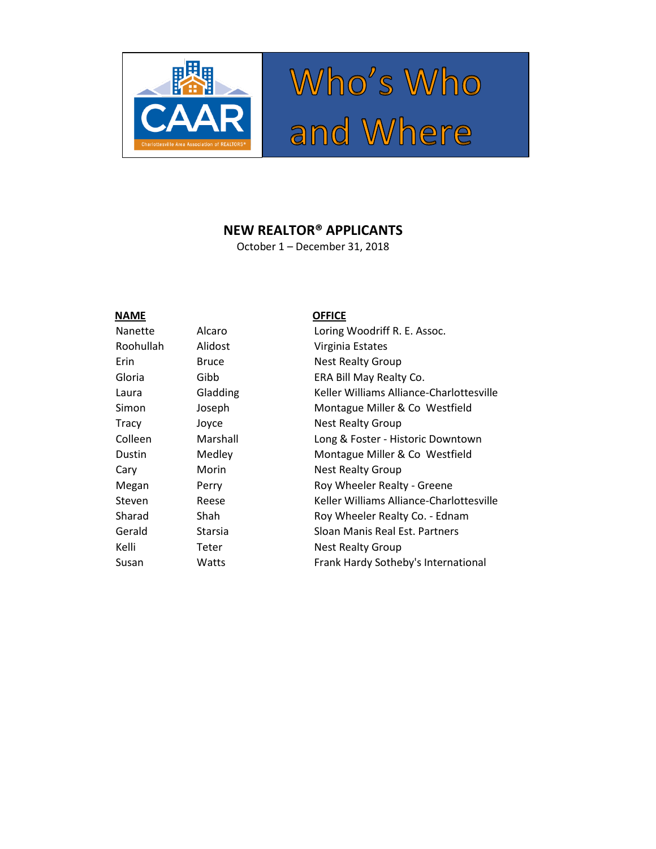

# Who's Who<br>and Where

#### **NEW REALTOR® APPLICANTS**

October 1 – December 31, 2018

## Nanette Alcaro Roohullah Alidost Laura Gladding Colleen Marshall Dustin Medley

#### **NAME OFFICE**

| Nanette   | Alcaro       | Loring Woodriff R. E. Assoc.             |
|-----------|--------------|------------------------------------------|
| Roohullah | Alidost      | Virginia Estates                         |
| Erin      | <b>Bruce</b> | <b>Nest Realty Group</b>                 |
| Gloria    | Gibb         | ERA Bill May Realty Co.                  |
| Laura     | Gladding     | Keller Williams Alliance-Charlottesville |
| Simon     | Joseph       | Montague Miller & Co Westfield           |
| Tracy     | Joyce        | <b>Nest Realty Group</b>                 |
| Colleen   | Marshall     | Long & Foster - Historic Downtown        |
| Dustin    | Medley       | Montague Miller & Co Westfield           |
| Cary      | Morin        | <b>Nest Realty Group</b>                 |
| Megan     | Perry        | Roy Wheeler Realty - Greene              |
| Steven    | Reese        | Keller Williams Alliance-Charlottesville |
| Sharad    | Shah         | Roy Wheeler Realty Co. - Ednam           |
| Gerald    | Starsia      | Sloan Manis Real Est. Partners           |
| Kelli     | Teter        | <b>Nest Realty Group</b>                 |
| Susan     | Watts        | Frank Hardy Sotheby's International      |
|           |              |                                          |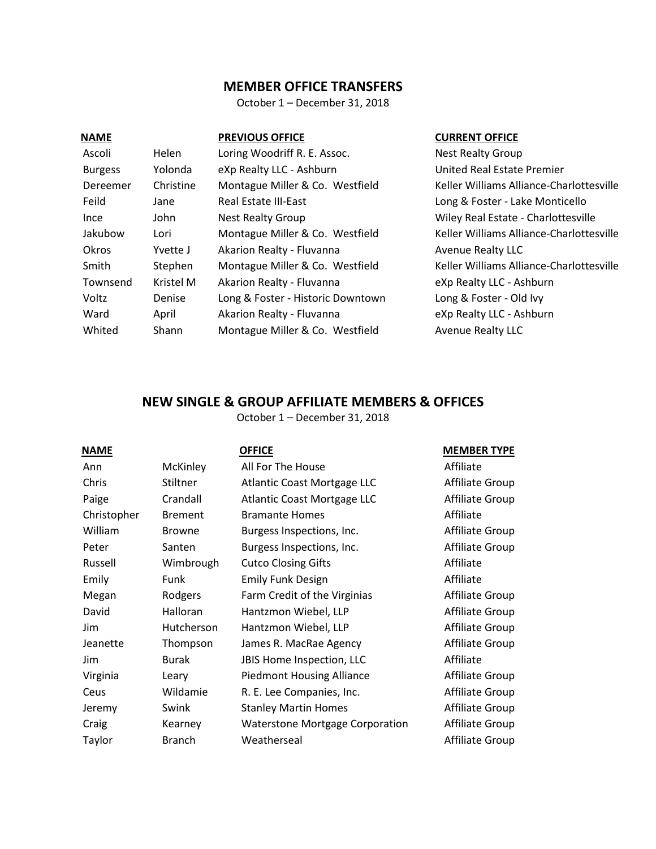#### **MEMBER OFFICE TRANSFERS**

October 1 – December 31, 2018

| <b>NAME</b>    |           | <b>PREVIOUS OFFICE</b>            |
|----------------|-----------|-----------------------------------|
| Ascoli         | Helen     | Loring Woodriff R. E. Assoc.      |
| <b>Burgess</b> | Yolonda   | eXp Realty LLC - Ashburn          |
| Dereemer       | Christine | Montague Miller & Co. Westfield   |
| Feild          | Jane      | <b>Real Estate III-East</b>       |
| Ince           | John      | <b>Nest Realty Group</b>          |
| Jakubow        | Lori      | Montague Miller & Co. Westfield   |
| Okros          | Yvette J  | Akarion Realty - Fluvanna         |
| Smith          | Stephen   | Montague Miller & Co. Westfield   |
| Townsend       | Kristel M | Akarion Realty - Fluvanna         |
| Voltz          | Denise    | Long & Foster - Historic Downtown |
| Ward           | April     | Akarion Realty - Fluvanna         |
| Whited         | Shann     | Montague Miller & Co. Westfield   |

#### **CURRENT OFFICE**

Nest Realty Group United Real Estate Premier Keller Williams Alliance-Charlottesville Long & Foster - Lake Monticello Wiley Real Estate - Charlottesville Keller Williams Alliance-Charlottesville Avenue Realty LLC Keller Williams Alliance-Charlottesville eXp Realty LLC - Ashburn Long & Foster - Old Ivy eXp Realty LLC - Ashburn Avenue Realty LLC

#### **NEW SINGLE & GROUP AFFILIATE MEMBERS & OFFICES**

October 1 – December 31, 2018

| <b>NAME</b> |                | <b>OFFICE</b>                          | <b>MEMBER TYPE</b> |
|-------------|----------------|----------------------------------------|--------------------|
| Ann         | McKinley       | All For The House                      | Affiliate          |
| Chris       | Stiltner       | Atlantic Coast Mortgage LLC            | Affiliate Group    |
| Paige       | Crandall       | Atlantic Coast Mortgage LLC            | Affiliate Group    |
| Christopher | <b>Brement</b> | <b>Bramante Homes</b>                  | Affiliate          |
| William     | <b>Browne</b>  | Burgess Inspections, Inc.              | Affiliate Group    |
| Peter       | Santen         | Burgess Inspections, Inc.              | Affiliate Group    |
| Russell     | Wimbrough      | <b>Cutco Closing Gifts</b>             | Affiliate          |
| Emily       | Funk           | <b>Emily Funk Design</b>               | Affiliate          |
| Megan       | Rodgers        | Farm Credit of the Virginias           | Affiliate Group    |
| David       | Halloran       | Hantzmon Wiebel, LLP                   | Affiliate Group    |
| Jim.        | Hutcherson     | Hantzmon Wiebel, LLP                   | Affiliate Group    |
| Jeanette    | Thompson       | James R. MacRae Agency                 | Affiliate Group    |
| Jim.        | <b>Burak</b>   | JBIS Home Inspection, LLC              | Affiliate          |
| Virginia    | Leary          | <b>Piedmont Housing Alliance</b>       | Affiliate Group    |
| Ceus        | Wildamie       | R. E. Lee Companies, Inc.              | Affiliate Group    |
| Jeremy      | Swink          | <b>Stanley Martin Homes</b>            | Affiliate Group    |
| Craig       | Kearney        | <b>Waterstone Mortgage Corporation</b> | Affiliate Group    |
| Taylor      | <b>Branch</b>  | Weatherseal                            | Affiliate Group    |